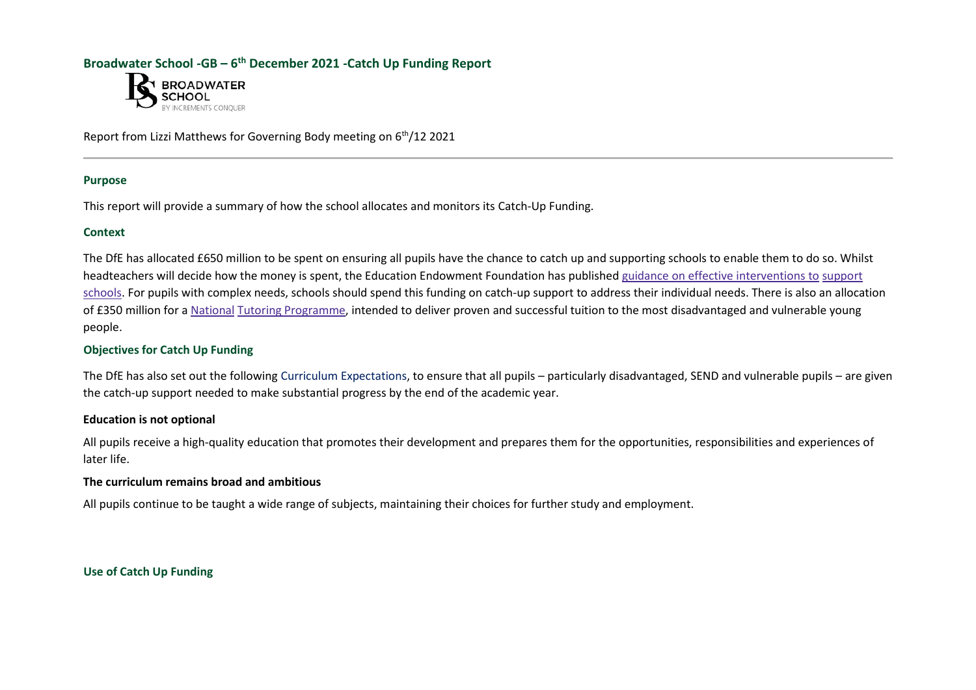Report from Lizzi Matthews for Governing Body meeting on 6<sup>th</sup>/12 2021

#### **Purpose**

This report will provide a summary of how the school allocates and monitors its Catch-Up Funding.

#### **Context**

The DfE has allocated £650 million to be spent on ensuring all pupils have the chance to catch up and supporting schools to enable them to do so. Whilst headteachers will decide how the money is spent, the Education Endowment Foundation has published [guidance on effective interventions to](https://educationendowmentfoundation.org.uk/covid-19-resources/covid-19-support-guide-for-schools/) [support](https://educationendowmentfoundation.org.uk/covid-19-resources/covid-19-support-guide-for-schools/)  [schools.](https://educationendowmentfoundation.org.uk/covid-19-resources/covid-19-support-guide-for-schools/) For pupils with complex needs, schools should spend this funding on catch-up support to address their individual needs. There is also an allocation of £350 million fo[r a National](https://educationendowmentfoundation.org.uk/covid-19-resources/national-tutoring-programme/) [Tutoring Programme,](https://educationendowmentfoundation.org.uk/covid-19-resources/national-tutoring-programme/) intended to deliver proven and successful tuition to the most disadvantaged and vulnerable young people.

#### **Objectives for Catch Up Funding**

The DfE has also set out the following Curriculum Expectations, to ensure that all pupils – particularly disadvantaged, SEND and vulnerable pupils – are given the catch-up support needed to make substantial progress by the end of the academic year.

#### **Education is not optional**

All pupils receive a high-quality education that promotes their development and prepares them for the opportunities, responsibilities and experiences of later life.

#### **The curriculum remains broad and ambitious**

All pupils continue to be taught a wide range of subjects, maintaining their choices for further study and employment.

#### **Use of Catch Up Funding**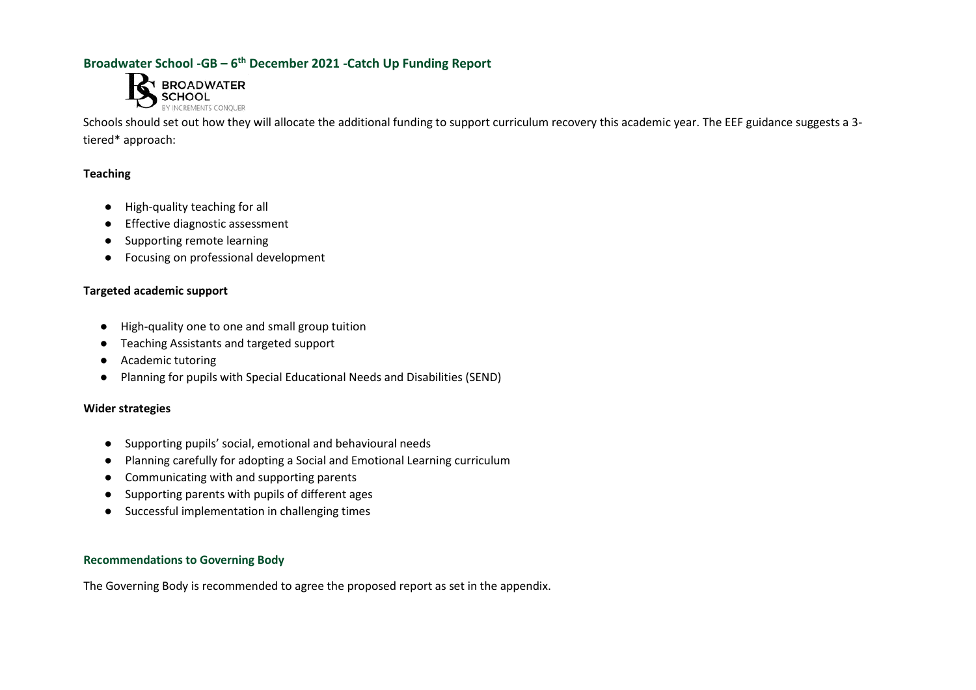

Schools should set out how they will allocate the additional funding to support curriculum recovery this academic year. The EEF guidance suggests a 3 tiered\* approach:

## **Teaching**

- High-quality teaching for all
- **Effective diagnostic assessment**
- Supporting remote learning
- Focusing on professional development

#### **Targeted academic support**

- High-quality one to one and small group tuition
- Teaching Assistants and targeted support
- Academic tutoring
- Planning for pupils with Special Educational Needs and Disabilities (SEND)

## **Wider strategies**

- Supporting pupils' social, emotional and behavioural needs
- Planning carefully for adopting a Social and Emotional Learning curriculum
- Communicating with and supporting parents
- Supporting parents with pupils of different ages
- Successful implementation in challenging times

## **Recommendations to Governing Body**

The Governing Body is recommended to agree the proposed report as set in the appendix.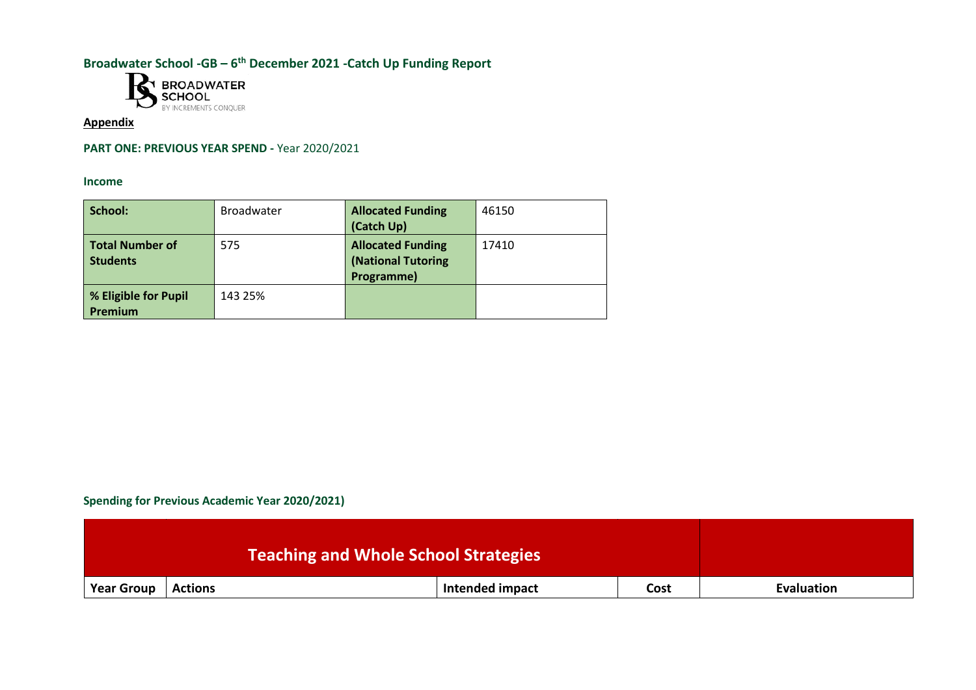

## **Appendix**

**PART ONE: PREVIOUS YEAR SPEND -** Year 2020/2021

**Income**

| School:                                   | <b>Broadwater</b> | <b>Allocated Funding</b><br>(Catch Up)                       | 46150 |
|-------------------------------------------|-------------------|--------------------------------------------------------------|-------|
| <b>Total Number of</b><br><b>Students</b> | 575               | <b>Allocated Funding</b><br>(National Tutoring<br>Programme) | 17410 |
| % Eligible for Pupil<br>Premium           | 143 25%           |                                                              |       |

## **Spending for Previous Academic Year 2020/2021)**

|                   | Teaching and Whole School Strategies |                 |      |            |
|-------------------|--------------------------------------|-----------------|------|------------|
| <b>Year Group</b> | <b>Actions</b>                       | Intended impact | Cost | Evaluation |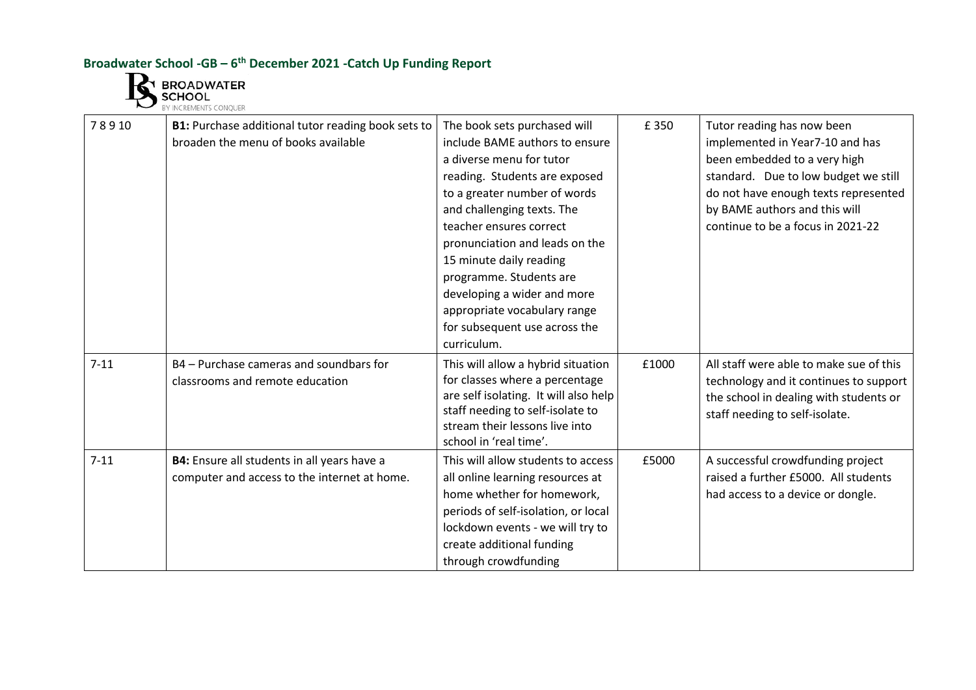

| 78910    | B1: Purchase additional tutor reading book sets to<br>broaden the menu of books available   | The book sets purchased will<br>include BAME authors to ensure<br>a diverse menu for tutor<br>reading. Students are exposed<br>to a greater number of words<br>and challenging texts. The<br>teacher ensures correct<br>pronunciation and leads on the<br>15 minute daily reading<br>programme. Students are<br>developing a wider and more<br>appropriate vocabulary range<br>for subsequent use across the<br>curriculum. | £350  | Tutor reading has now been<br>implemented in Year7-10 and has<br>been embedded to a very high<br>standard. Due to low budget we still<br>do not have enough texts represented<br>by BAME authors and this will<br>continue to be a focus in 2021-22 |
|----------|---------------------------------------------------------------------------------------------|-----------------------------------------------------------------------------------------------------------------------------------------------------------------------------------------------------------------------------------------------------------------------------------------------------------------------------------------------------------------------------------------------------------------------------|-------|-----------------------------------------------------------------------------------------------------------------------------------------------------------------------------------------------------------------------------------------------------|
| $7 - 11$ | B4 - Purchase cameras and soundbars for<br>classrooms and remote education                  | This will allow a hybrid situation<br>for classes where a percentage<br>are self isolating. It will also help<br>staff needing to self-isolate to<br>stream their lessons live into<br>school in 'real time'.                                                                                                                                                                                                               | £1000 | All staff were able to make sue of this<br>technology and it continues to support<br>the school in dealing with students or<br>staff needing to self-isolate.                                                                                       |
| $7 - 11$ | B4: Ensure all students in all years have a<br>computer and access to the internet at home. | This will allow students to access<br>all online learning resources at<br>home whether for homework,<br>periods of self-isolation, or local<br>lockdown events - we will try to<br>create additional funding<br>through crowdfunding                                                                                                                                                                                        | £5000 | A successful crowdfunding project<br>raised a further £5000. All students<br>had access to a device or dongle.                                                                                                                                      |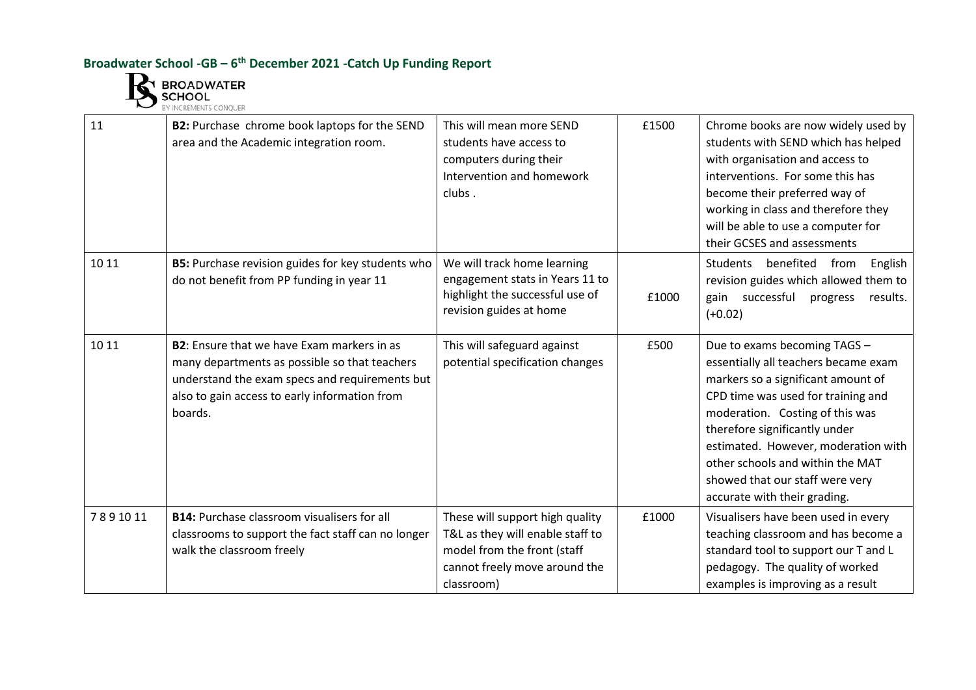

| 11      | B2: Purchase chrome book laptops for the SEND<br>area and the Academic integration room.                                                                                                                         | This will mean more SEND<br>students have access to<br>computers during their<br>Intervention and homework<br>clubs.                              | £1500 | Chrome books are now widely used by<br>students with SEND which has helped<br>with organisation and access to<br>interventions. For some this has<br>become their preferred way of<br>working in class and therefore they<br>will be able to use a computer for<br>their GCSES and assessments                                                                     |
|---------|------------------------------------------------------------------------------------------------------------------------------------------------------------------------------------------------------------------|---------------------------------------------------------------------------------------------------------------------------------------------------|-------|--------------------------------------------------------------------------------------------------------------------------------------------------------------------------------------------------------------------------------------------------------------------------------------------------------------------------------------------------------------------|
| 10 11   | B5: Purchase revision guides for key students who<br>do not benefit from PP funding in year 11                                                                                                                   | We will track home learning<br>engagement stats in Years 11 to<br>highlight the successful use of<br>revision guides at home                      | £1000 | benefited from<br>Students<br>English<br>revision guides which allowed them to<br>gain successful<br>progress<br>results.<br>$(+0.02)$                                                                                                                                                                                                                             |
| 10 11   | <b>B2:</b> Ensure that we have Exam markers in as<br>many departments as possible so that teachers<br>understand the exam specs and requirements but<br>also to gain access to early information from<br>boards. | This will safeguard against<br>potential specification changes                                                                                    | £500  | Due to exams becoming TAGS -<br>essentially all teachers became exam<br>markers so a significant amount of<br>CPD time was used for training and<br>moderation. Costing of this was<br>therefore significantly under<br>estimated. However, moderation with<br>other schools and within the MAT<br>showed that our staff were very<br>accurate with their grading. |
| 7891011 | <b>B14:</b> Purchase classroom visualisers for all<br>classrooms to support the fact staff can no longer<br>walk the classroom freely                                                                            | These will support high quality<br>T&L as they will enable staff to<br>model from the front (staff<br>cannot freely move around the<br>classroom) | £1000 | Visualisers have been used in every<br>teaching classroom and has become a<br>standard tool to support our T and L<br>pedagogy. The quality of worked<br>examples is improving as a result                                                                                                                                                                         |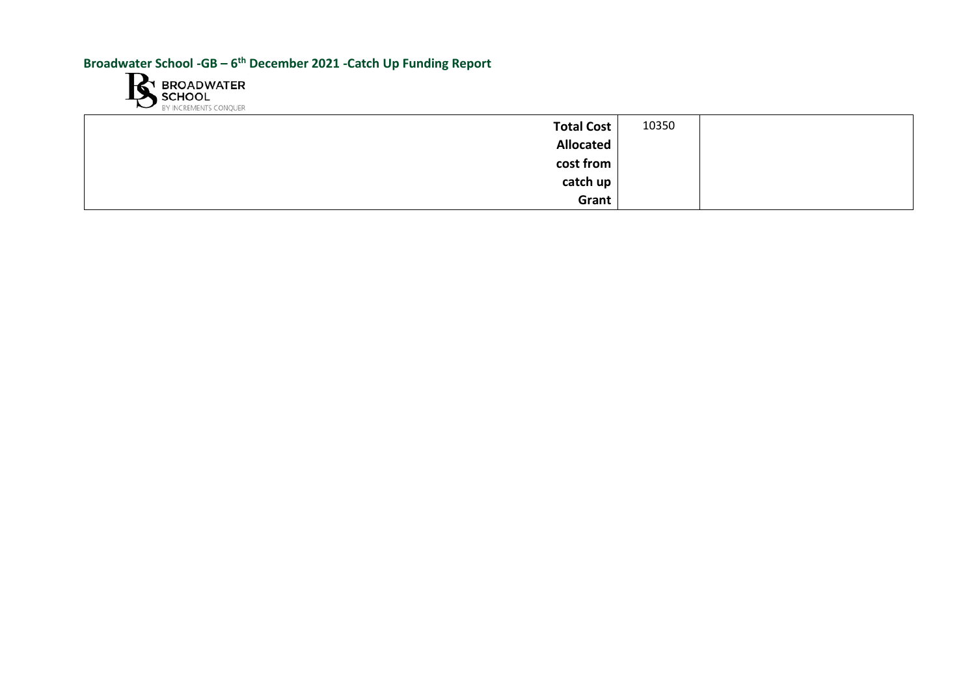

| Total Cost  | 10350 |  |
|-------------|-------|--|
| Allocated   |       |  |
| $cost$ from |       |  |
| catch up '  |       |  |
| Grant       |       |  |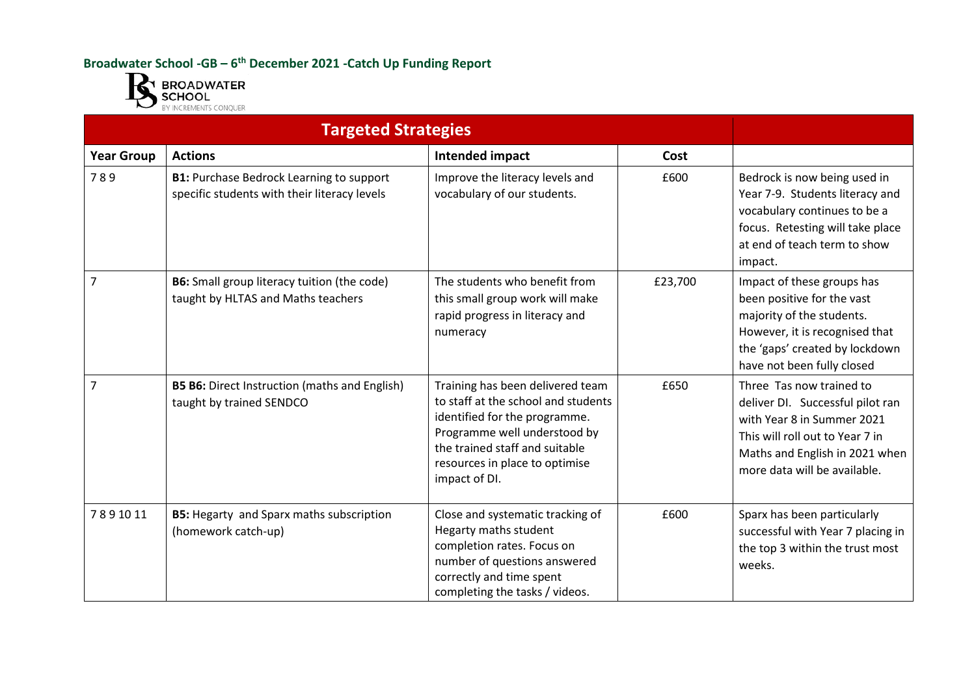

| <b>Year Group</b> | <b>Actions</b>                                                                                  | Intended impact                                                                                                                                                                                                               | Cost    |                                                                                                                                                                                                 |
|-------------------|-------------------------------------------------------------------------------------------------|-------------------------------------------------------------------------------------------------------------------------------------------------------------------------------------------------------------------------------|---------|-------------------------------------------------------------------------------------------------------------------------------------------------------------------------------------------------|
| 789               | <b>B1: Purchase Bedrock Learning to support</b><br>specific students with their literacy levels | Improve the literacy levels and<br>vocabulary of our students.                                                                                                                                                                | £600    | Bedrock is now being used in<br>Year 7-9. Students literacy and<br>vocabulary continues to be a<br>focus. Retesting will take place<br>at end of teach term to show<br>impact.                  |
| 7                 | <b>B6:</b> Small group literacy tuition (the code)<br>taught by HLTAS and Maths teachers        | The students who benefit from<br>this small group work will make<br>rapid progress in literacy and<br>numeracy                                                                                                                | £23,700 | Impact of these groups has<br>been positive for the vast<br>majority of the students.<br>However, it is recognised that<br>the 'gaps' created by lockdown<br>have not been fully closed         |
| 7                 | <b>B5 B6:</b> Direct Instruction (maths and English)<br>taught by trained SENDCO                | Training has been delivered team<br>to staff at the school and students<br>identified for the programme.<br>Programme well understood by<br>the trained staff and suitable<br>resources in place to optimise<br>impact of DI. | £650    | Three Tas now trained to<br>deliver DI. Successful pilot ran<br>with Year 8 in Summer 2021<br>This will roll out to Year 7 in<br>Maths and English in 2021 when<br>more data will be available. |
| 7891011           | B5: Hegarty and Sparx maths subscription<br>(homework catch-up)                                 | Close and systematic tracking of<br>Hegarty maths student<br>completion rates. Focus on<br>number of questions answered<br>correctly and time spent<br>completing the tasks / videos.                                         | £600    | Sparx has been particularly<br>successful with Year 7 placing in<br>the top 3 within the trust most<br>weeks.                                                                                   |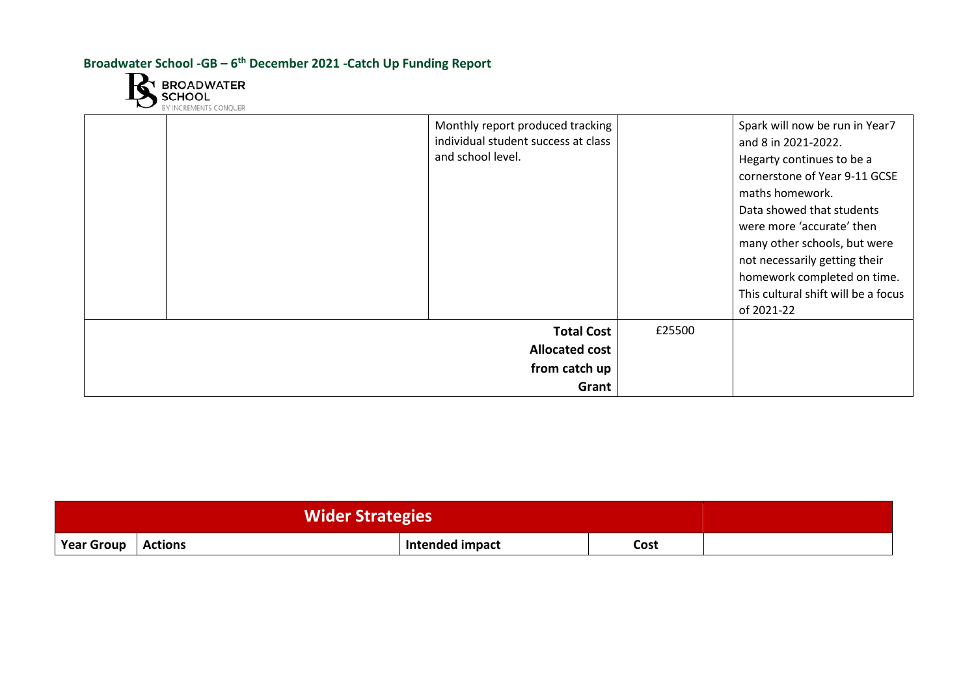

|  | Monthly report produced tracking<br>individual student success at class<br>and school level. |        | Spark will now be run in Year7<br>and 8 in 2021-2022.<br>Hegarty continues to be a<br>cornerstone of Year 9-11 GCSE<br>maths homework.<br>Data showed that students<br>were more 'accurate' then<br>many other schools, but were<br>not necessarily getting their<br>homework completed on time.<br>This cultural shift will be a focus<br>of 2021-22 |
|--|----------------------------------------------------------------------------------------------|--------|-------------------------------------------------------------------------------------------------------------------------------------------------------------------------------------------------------------------------------------------------------------------------------------------------------------------------------------------------------|
|  | <b>Total Cost</b><br><b>Allocated cost</b><br>from catch up<br>Grant                         | £25500 |                                                                                                                                                                                                                                                                                                                                                       |

| <b>Wider Strategies</b> |                |                 |      |  |
|-------------------------|----------------|-----------------|------|--|
| Year Group              | <b>Actions</b> | Intended impact | Cost |  |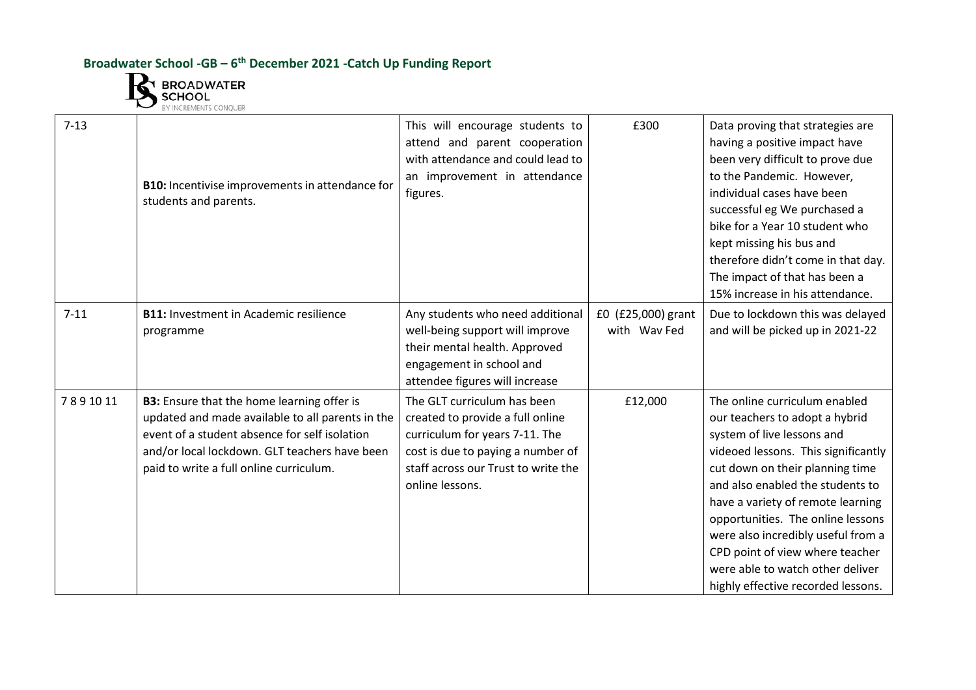

| $7 - 13$ | <b>B10:</b> Incentivise improvements in attendance for<br>students and parents.                                                                                                                                                                    | This will encourage students to<br>attend and parent cooperation<br>with attendance and could lead to<br>an improvement in attendance<br>figures.                                                | £300                               | Data proving that strategies are<br>having a positive impact have<br>been very difficult to prove due<br>to the Pandemic. However,<br>individual cases have been<br>successful eg We purchased a<br>bike for a Year 10 student who<br>kept missing his bus and<br>therefore didn't come in that day.<br>The impact of that has been a<br>15% increase in his attendance.                                                                 |
|----------|----------------------------------------------------------------------------------------------------------------------------------------------------------------------------------------------------------------------------------------------------|--------------------------------------------------------------------------------------------------------------------------------------------------------------------------------------------------|------------------------------------|------------------------------------------------------------------------------------------------------------------------------------------------------------------------------------------------------------------------------------------------------------------------------------------------------------------------------------------------------------------------------------------------------------------------------------------|
| $7 - 11$ | <b>B11: Investment in Academic resilience</b><br>programme                                                                                                                                                                                         | Any students who need additional<br>well-being support will improve<br>their mental health. Approved<br>engagement in school and<br>attendee figures will increase                               | £0 (£25,000) grant<br>with Way Fed | Due to lockdown this was delayed<br>and will be picked up in 2021-22                                                                                                                                                                                                                                                                                                                                                                     |
| 7891011  | <b>B3:</b> Ensure that the home learning offer is<br>updated and made available to all parents in the<br>event of a student absence for self isolation<br>and/or local lockdown. GLT teachers have been<br>paid to write a full online curriculum. | The GLT curriculum has been<br>created to provide a full online<br>curriculum for years 7-11. The<br>cost is due to paying a number of<br>staff across our Trust to write the<br>online lessons. | £12,000                            | The online curriculum enabled<br>our teachers to adopt a hybrid<br>system of live lessons and<br>videoed lessons. This significantly<br>cut down on their planning time<br>and also enabled the students to<br>have a variety of remote learning<br>opportunities. The online lessons<br>were also incredibly useful from a<br>CPD point of view where teacher<br>were able to watch other deliver<br>highly effective recorded lessons. |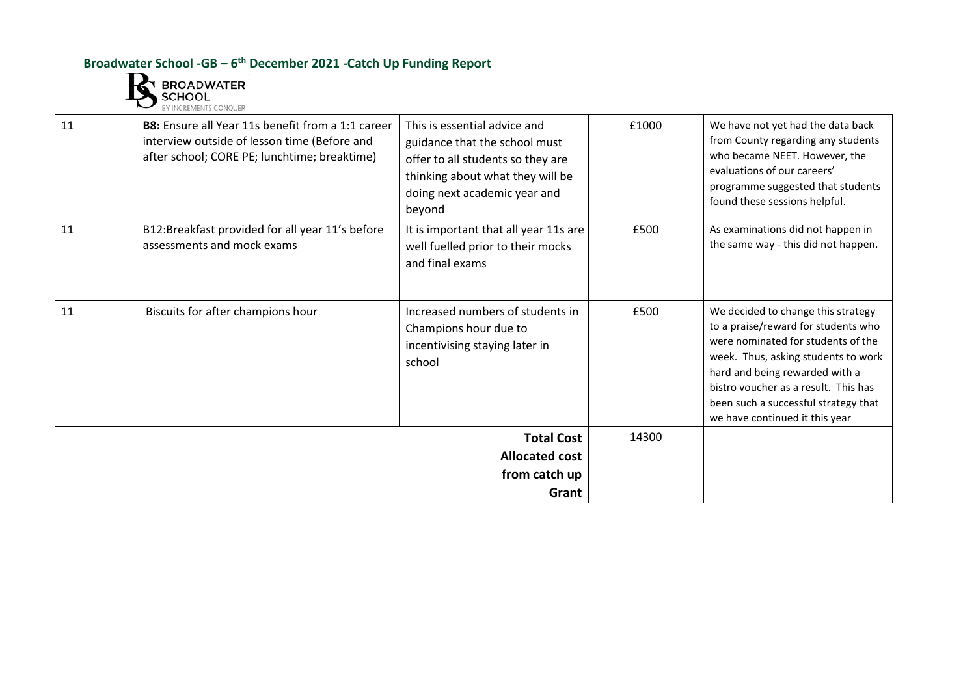

| 11 | <b>B8:</b> Ensure all Year 11s benefit from a 1:1 career<br>interview outside of lesson time (Before and<br>after school; CORE PE; lunchtime; breaktime) | This is essential advice and<br>guidance that the school must<br>offer to all students so they are<br>thinking about what they will be<br>doing next academic year and<br>beyond | £1000 | We have not yet had the data back<br>from County regarding any students<br>who became NEET. However, the<br>evaluations of our careers'<br>programme suggested that students<br>found these sessions helpful.                                                                                              |
|----|----------------------------------------------------------------------------------------------------------------------------------------------------------|----------------------------------------------------------------------------------------------------------------------------------------------------------------------------------|-------|------------------------------------------------------------------------------------------------------------------------------------------------------------------------------------------------------------------------------------------------------------------------------------------------------------|
| 11 | B12: Breakfast provided for all year 11's before<br>assessments and mock exams                                                                           | It is important that all year 11s are<br>well fuelled prior to their mocks<br>and final exams                                                                                    | £500  | As examinations did not happen in<br>the same way - this did not happen.                                                                                                                                                                                                                                   |
| 11 | Biscuits for after champions hour                                                                                                                        | Increased numbers of students in<br>Champions hour due to<br>incentivising staying later in<br>school                                                                            | £500  | We decided to change this strategy<br>to a praise/reward for students who<br>were nominated for students of the<br>week. Thus, asking students to work<br>hard and being rewarded with a<br>bistro voucher as a result. This has<br>been such a successful strategy that<br>we have continued it this year |
|    |                                                                                                                                                          | <b>Total Cost</b>                                                                                                                                                                | 14300 |                                                                                                                                                                                                                                                                                                            |
|    |                                                                                                                                                          | <b>Allocated cost</b>                                                                                                                                                            |       |                                                                                                                                                                                                                                                                                                            |
|    |                                                                                                                                                          | from catch up                                                                                                                                                                    |       |                                                                                                                                                                                                                                                                                                            |
|    |                                                                                                                                                          | Grant                                                                                                                                                                            |       |                                                                                                                                                                                                                                                                                                            |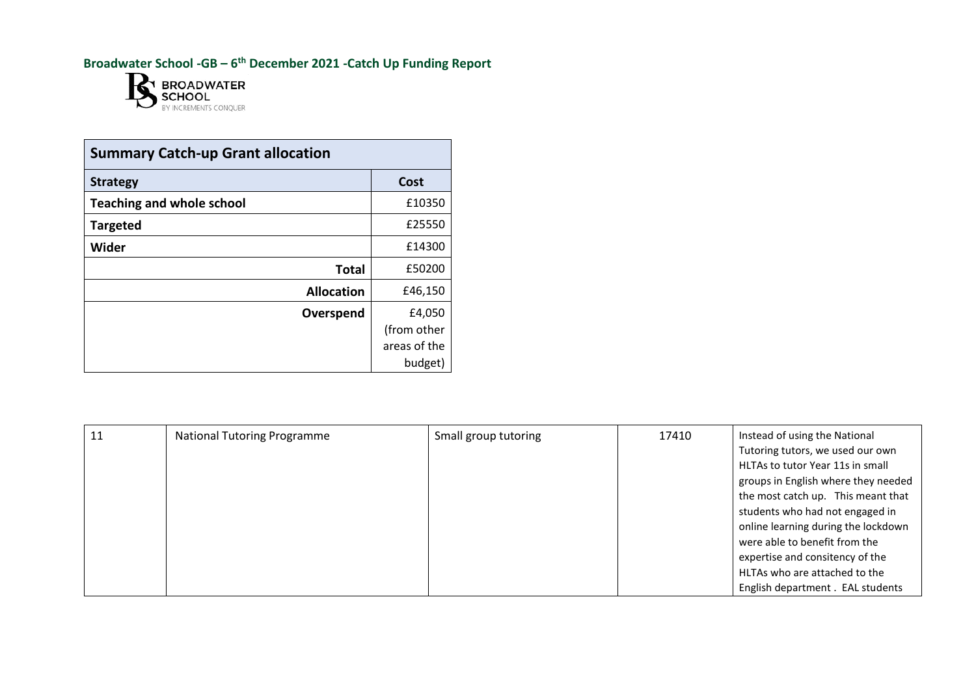

| <b>Summary Catch-up Grant allocation</b> |              |  |  |
|------------------------------------------|--------------|--|--|
| <b>Strategy</b>                          | Cost         |  |  |
| <b>Teaching and whole school</b>         | £10350       |  |  |
| <b>Targeted</b>                          | £25550       |  |  |
| Wider                                    | £14300       |  |  |
| <b>Total</b>                             | £50200       |  |  |
| <b>Allocation</b>                        | £46,150      |  |  |
| Overspend                                | £4,050       |  |  |
|                                          | (from other  |  |  |
|                                          | areas of the |  |  |
|                                          | budget)      |  |  |

| 11 | <b>National Tutoring Programme</b> | Small group tutoring | 17410 | Instead of using the National       |
|----|------------------------------------|----------------------|-------|-------------------------------------|
|    |                                    |                      |       | Tutoring tutors, we used our own    |
|    |                                    |                      |       | HLTAs to tutor Year 11s in small    |
|    |                                    |                      |       | groups in English where they needed |
|    |                                    |                      |       | the most catch up. This meant that  |
|    |                                    |                      |       | students who had not engaged in     |
|    |                                    |                      |       | online learning during the lockdown |
|    |                                    |                      |       | were able to benefit from the       |
|    |                                    |                      |       | expertise and consitency of the     |
|    |                                    |                      |       | HLTAs who are attached to the       |
|    |                                    |                      |       | English department . EAL students   |